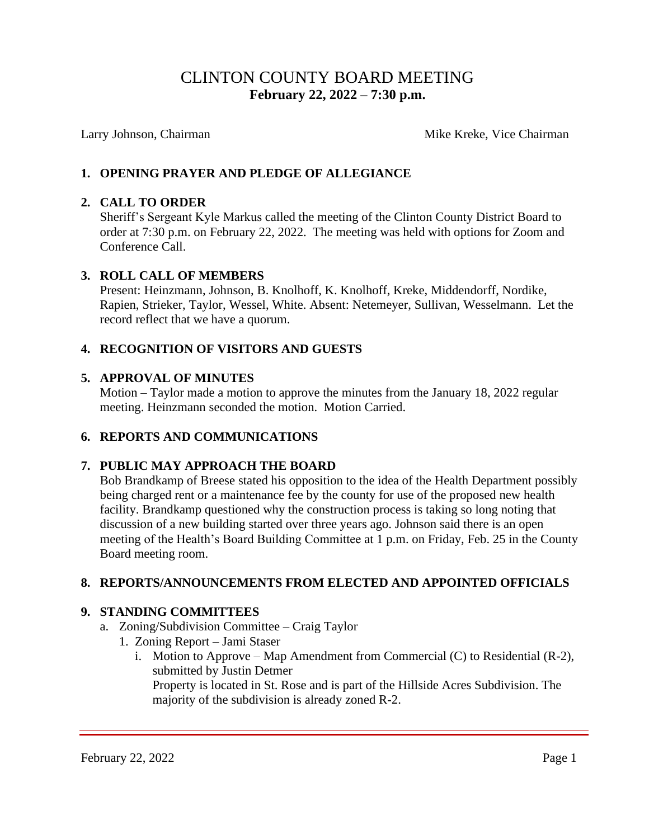# CLINTON COUNTY BOARD MEETING  **February 22, 2022 – 7:30 p.m.**

Larry Johnson, Chairman Mike Kreke, Vice Chairman Mike Kreke, Vice Chairman

# **1. OPENING PRAYER AND PLEDGE OF ALLEGIANCE**

#### **2. CALL TO ORDER**

Sheriff's Sergeant Kyle Markus called the meeting of the Clinton County District Board to order at 7:30 p.m. on February 22, 2022. The meeting was held with options for Zoom and Conference Call.

#### **3. ROLL CALL OF MEMBERS**

Present: Heinzmann, Johnson, B. Knolhoff, K. Knolhoff, Kreke, Middendorff, Nordike, Rapien, Strieker, Taylor, Wessel, White. Absent: Netemeyer, Sullivan, Wesselmann. Let the record reflect that we have a quorum.

## **4. RECOGNITION OF VISITORS AND GUESTS**

#### **5. APPROVAL OF MINUTES**

Motion – Taylor made a motion to approve the minutes from the January 18, 2022 regular meeting. Heinzmann seconded the motion. Motion Carried.

## **6. REPORTS AND COMMUNICATIONS**

## **7. PUBLIC MAY APPROACH THE BOARD**

Bob Brandkamp of Breese stated his opposition to the idea of the Health Department possibly being charged rent or a maintenance fee by the county for use of the proposed new health facility. Brandkamp questioned why the construction process is taking so long noting that discussion of a new building started over three years ago. Johnson said there is an open meeting of the Health's Board Building Committee at 1 p.m. on Friday, Feb. 25 in the County Board meeting room.

## **8. REPORTS/ANNOUNCEMENTS FROM ELECTED AND APPOINTED OFFICIALS**

## **9. STANDING COMMITTEES**

- a. Zoning/Subdivision Committee Craig Taylor
	- 1. Zoning Report Jami Staser
		- i. Motion to Approve Map Amendment from Commercial (C) to Residential (R-2), submitted by Justin Detmer

Property is located in St. Rose and is part of the Hillside Acres Subdivision. The majority of the subdivision is already zoned R-2.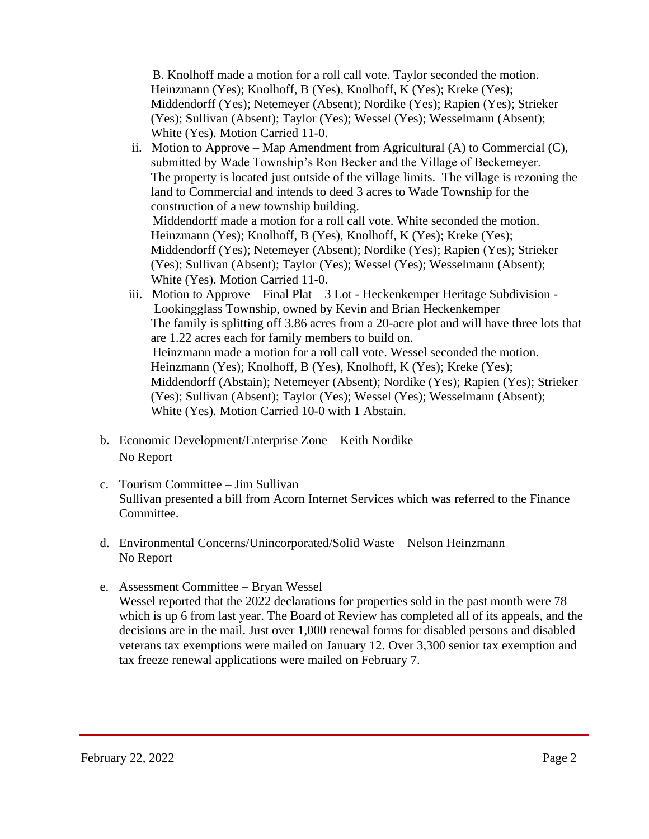B. Knolhoff made a motion for a roll call vote. Taylor seconded the motion. Heinzmann (Yes); Knolhoff, B (Yes), Knolhoff, K (Yes); Kreke (Yes); Middendorff (Yes); Netemeyer (Absent); Nordike (Yes); Rapien (Yes); Strieker (Yes); Sullivan (Absent); Taylor (Yes); Wessel (Yes); Wesselmann (Absent); White (Yes). Motion Carried 11-0.

- ii. Motion to Approve Map Amendment from Agricultural  $(A)$  to Commercial  $(C)$ , submitted by Wade Township's Ron Becker and the Village of Beckemeyer. The property is located just outside of the village limits. The village is rezoning the land to Commercial and intends to deed 3 acres to Wade Township for the construction of a new township building. Middendorff made a motion for a roll call vote. White seconded the motion. Heinzmann (Yes); Knolhoff, B (Yes), Knolhoff, K (Yes); Kreke (Yes); Middendorff (Yes); Netemeyer (Absent); Nordike (Yes); Rapien (Yes); Strieker (Yes); Sullivan (Absent); Taylor (Yes); Wessel (Yes); Wesselmann (Absent); White (Yes). Motion Carried 11-0.
- iii. Motion to Approve Final Plat 3 Lot Heckenkemper Heritage Subdivision Lookingglass Township, owned by Kevin and Brian Heckenkemper The family is splitting off 3.86 acres from a 20-acre plot and will have three lots that are 1.22 acres each for family members to build on. Heinzmann made a motion for a roll call vote. Wessel seconded the motion. Heinzmann (Yes); Knolhoff, B (Yes), Knolhoff, K (Yes); Kreke (Yes); Middendorff (Abstain); Netemeyer (Absent); Nordike (Yes); Rapien (Yes); Strieker (Yes); Sullivan (Absent); Taylor (Yes); Wessel (Yes); Wesselmann (Absent); White (Yes). Motion Carried 10-0 with 1 Abstain.
- b. Economic Development/Enterprise Zone Keith Nordike No Report
- c. Tourism Committee Jim Sullivan Sullivan presented a bill from Acorn Internet Services which was referred to the Finance Committee.
- d. Environmental Concerns/Unincorporated/Solid Waste Nelson Heinzmann No Report
- e. Assessment Committee Bryan Wessel Wessel reported that the 2022 declarations for properties sold in the past month were 78 which is up 6 from last year. The Board of Review has completed all of its appeals, and the decisions are in the mail. Just over 1,000 renewal forms for disabled persons and disabled veterans tax exemptions were mailed on January 12. Over 3,300 senior tax exemption and tax freeze renewal applications were mailed on February 7.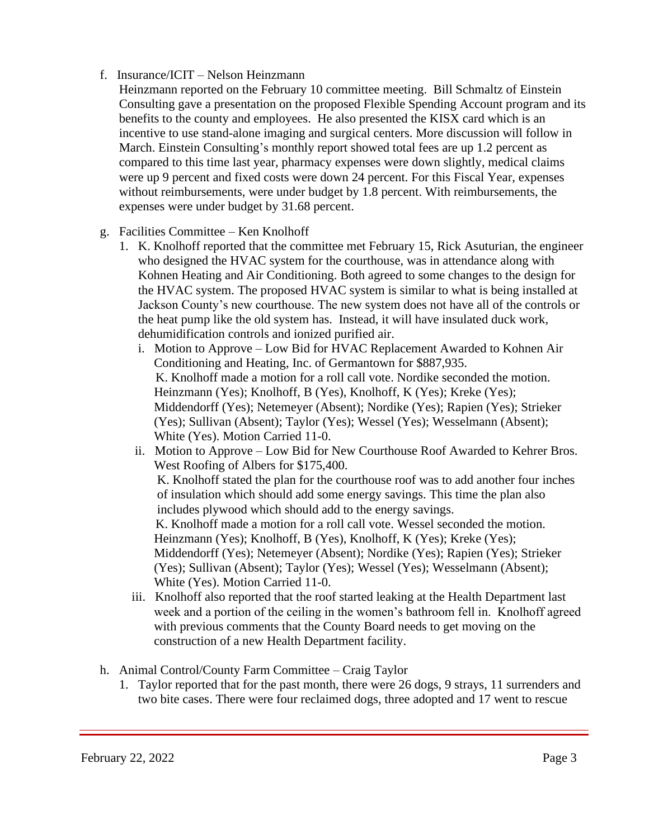# f. Insurance/ICIT – Nelson Heinzmann

- Heinzmann reported on the February 10 committee meeting. Bill Schmaltz of Einstein Consulting gave a presentation on the proposed Flexible Spending Account program and its benefits to the county and employees. He also presented the KISX card which is an incentive to use stand-alone imaging and surgical centers. More discussion will follow in March. Einstein Consulting's monthly report showed total fees are up 1.2 percent as compared to this time last year, pharmacy expenses were down slightly, medical claims were up 9 percent and fixed costs were down 24 percent. For this Fiscal Year, expenses without reimbursements, were under budget by 1.8 percent. With reimbursements, the expenses were under budget by 31.68 percent.
- g. Facilities Committee Ken Knolhoff
	- 1. K. Knolhoff reported that the committee met February 15, Rick Asuturian, the engineer who designed the HVAC system for the courthouse, was in attendance along with Kohnen Heating and Air Conditioning. Both agreed to some changes to the design for the HVAC system. The proposed HVAC system is similar to what is being installed at Jackson County's new courthouse. The new system does not have all of the controls or the heat pump like the old system has. Instead, it will have insulated duck work, dehumidification controls and ionized purified air.
		- i. Motion to Approve Low Bid for HVAC Replacement Awarded to Kohnen Air Conditioning and Heating, Inc. of Germantown for \$887,935. K. Knolhoff made a motion for a roll call vote. Nordike seconded the motion. Heinzmann (Yes); Knolhoff, B (Yes), Knolhoff, K (Yes); Kreke (Yes); Middendorff (Yes); Netemeyer (Absent); Nordike (Yes); Rapien (Yes); Strieker (Yes); Sullivan (Absent); Taylor (Yes); Wessel (Yes); Wesselmann (Absent); White (Yes). Motion Carried 11-0.
		- ii. Motion to Approve Low Bid for New Courthouse Roof Awarded to Kehrer Bros. West Roofing of Albers for \$175,400. K. Knolhoff stated the plan for the courthouse roof was to add another four inches of insulation which should add some energy savings. This time the plan also includes plywood which should add to the energy savings. K. Knolhoff made a motion for a roll call vote. Wessel seconded the motion.

 Heinzmann (Yes); Knolhoff, B (Yes), Knolhoff, K (Yes); Kreke (Yes); Middendorff (Yes); Netemeyer (Absent); Nordike (Yes); Rapien (Yes); Strieker (Yes); Sullivan (Absent); Taylor (Yes); Wessel (Yes); Wesselmann (Absent); White (Yes). Motion Carried 11-0.

- iii. Knolhoff also reported that the roof started leaking at the Health Department last week and a portion of the ceiling in the women's bathroom fell in. Knolhoff agreed with previous comments that the County Board needs to get moving on the construction of a new Health Department facility.
- h. Animal Control/County Farm Committee Craig Taylor
	- 1. Taylor reported that for the past month, there were 26 dogs, 9 strays, 11 surrenders and two bite cases. There were four reclaimed dogs, three adopted and 17 went to rescue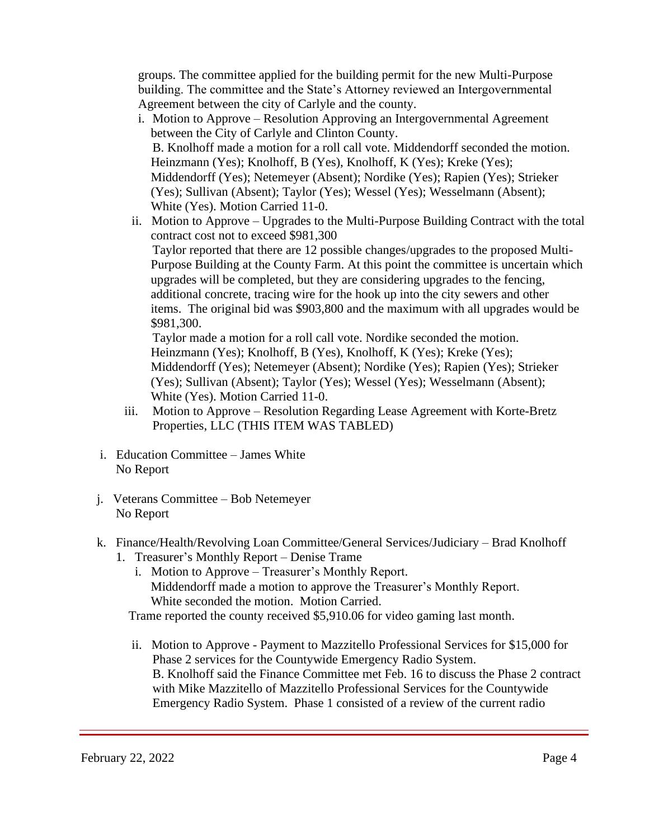groups. The committee applied for the building permit for the new Multi-Purpose building. The committee and the State's Attorney reviewed an Intergovernmental Agreement between the city of Carlyle and the county.

- i. Motion to Approve Resolution Approving an Intergovernmental Agreement between the City of Carlyle and Clinton County. B. Knolhoff made a motion for a roll call vote. Middendorff seconded the motion. Heinzmann (Yes); Knolhoff, B (Yes), Knolhoff, K (Yes); Kreke (Yes); Middendorff (Yes); Netemeyer (Absent); Nordike (Yes); Rapien (Yes); Strieker (Yes); Sullivan (Absent); Taylor (Yes); Wessel (Yes); Wesselmann (Absent); White (Yes). Motion Carried 11-0.
- ii. Motion to Approve Upgrades to the Multi-Purpose Building Contract with the total contract cost not to exceed \$981,300 Taylor reported that there are 12 possible changes/upgrades to the proposed Multi- Purpose Building at the County Farm. At this point the committee is uncertain which upgrades will be completed, but they are considering upgrades to the fencing, additional concrete, tracing wire for the hook up into the city sewers and other items. The original bid was \$903,800 and the maximum with all upgrades would be \$981,300.

 Taylor made a motion for a roll call vote. Nordike seconded the motion. Heinzmann (Yes); Knolhoff, B (Yes), Knolhoff, K (Yes); Kreke (Yes); Middendorff (Yes); Netemeyer (Absent); Nordike (Yes); Rapien (Yes); Strieker (Yes); Sullivan (Absent); Taylor (Yes); Wessel (Yes); Wesselmann (Absent); White (Yes). Motion Carried 11-0.

- iii. Motion to Approve Resolution Regarding Lease Agreement with Korte-Bretz Properties, LLC (THIS ITEM WAS TABLED)
- i. Education Committee James White No Report
- j. Veterans Committee Bob Netemeyer No Report
- k. Finance/Health/Revolving Loan Committee/General Services/Judiciary Brad Knolhoff
	- 1. Treasurer's Monthly Report Denise Trame
		- i. Motion to Approve Treasurer's Monthly Report. Middendorff made a motion to approve the Treasurer's Monthly Report. White seconded the motion. Motion Carried.

Trame reported the county received \$5,910.06 for video gaming last month.

 ii. Motion to Approve - Payment to Mazzitello Professional Services for \$15,000 for Phase 2 services for the Countywide Emergency Radio System. B. Knolhoff said the Finance Committee met Feb. 16 to discuss the Phase 2 contract with Mike Mazzitello of Mazzitello Professional Services for the Countywide Emergency Radio System. Phase 1 consisted of a review of the current radio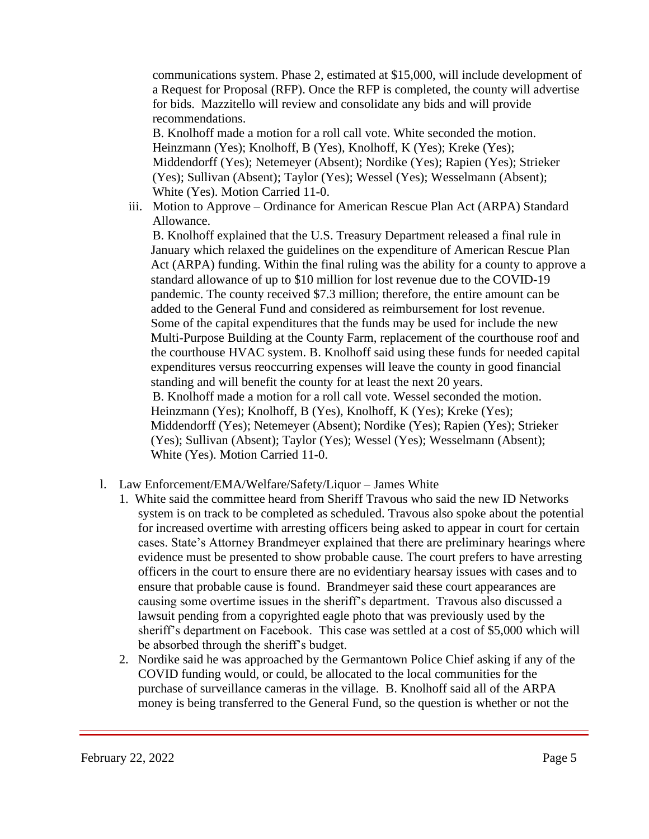communications system. Phase 2, estimated at \$15,000, will include development of a Request for Proposal (RFP). Once the RFP is completed, the county will advertise for bids. Mazzitello will review and consolidate any bids and will provide recommendations.

B. Knolhoff made a motion for a roll call vote. White seconded the motion. Heinzmann (Yes); Knolhoff, B (Yes), Knolhoff, K (Yes); Kreke (Yes); Middendorff (Yes); Netemeyer (Absent); Nordike (Yes); Rapien (Yes); Strieker (Yes); Sullivan (Absent); Taylor (Yes); Wessel (Yes); Wesselmann (Absent); White (Yes). Motion Carried 11-0.

 iii. Motion to Approve – Ordinance for American Rescue Plan Act (ARPA) Standard Allowance.

B. Knolhoff explained that the U.S. Treasury Department released a final rule in January which relaxed the guidelines on the expenditure of American Rescue Plan Act (ARPA) funding. Within the final ruling was the ability for a county to approve a standard allowance of up to \$10 million for lost revenue due to the COVID-19 pandemic. The county received \$7.3 million; therefore, the entire amount can be added to the General Fund and considered as reimbursement for lost revenue. Some of the capital expenditures that the funds may be used for include the new Multi-Purpose Building at the County Farm, replacement of the courthouse roof and the courthouse HVAC system. B. Knolhoff said using these funds for needed capital expenditures versus reoccurring expenses will leave the county in good financial standing and will benefit the county for at least the next 20 years. B. Knolhoff made a motion for a roll call vote. Wessel seconded the motion. Heinzmann (Yes); Knolhoff, B (Yes), Knolhoff, K (Yes); Kreke (Yes); Middendorff (Yes); Netemeyer (Absent); Nordike (Yes); Rapien (Yes); Strieker (Yes); Sullivan (Absent); Taylor (Yes); Wessel (Yes); Wesselmann (Absent); White (Yes). Motion Carried 11-0.

- l. Law Enforcement/EMA/Welfare/Safety/Liquor James White
	- 1. White said the committee heard from Sheriff Travous who said the new ID Networks system is on track to be completed as scheduled. Travous also spoke about the potential for increased overtime with arresting officers being asked to appear in court for certain cases. State's Attorney Brandmeyer explained that there are preliminary hearings where evidence must be presented to show probable cause. The court prefers to have arresting officers in the court to ensure there are no evidentiary hearsay issues with cases and to ensure that probable cause is found. Brandmeyer said these court appearances are causing some overtime issues in the sheriff's department. Travous also discussed a lawsuit pending from a copyrighted eagle photo that was previously used by the sheriff's department on Facebook. This case was settled at a cost of \$5,000 which will be absorbed through the sheriff's budget.
	- 2. Nordike said he was approached by the Germantown Police Chief asking if any of the COVID funding would, or could, be allocated to the local communities for the purchase of surveillance cameras in the village. B. Knolhoff said all of the ARPA money is being transferred to the General Fund, so the question is whether or not the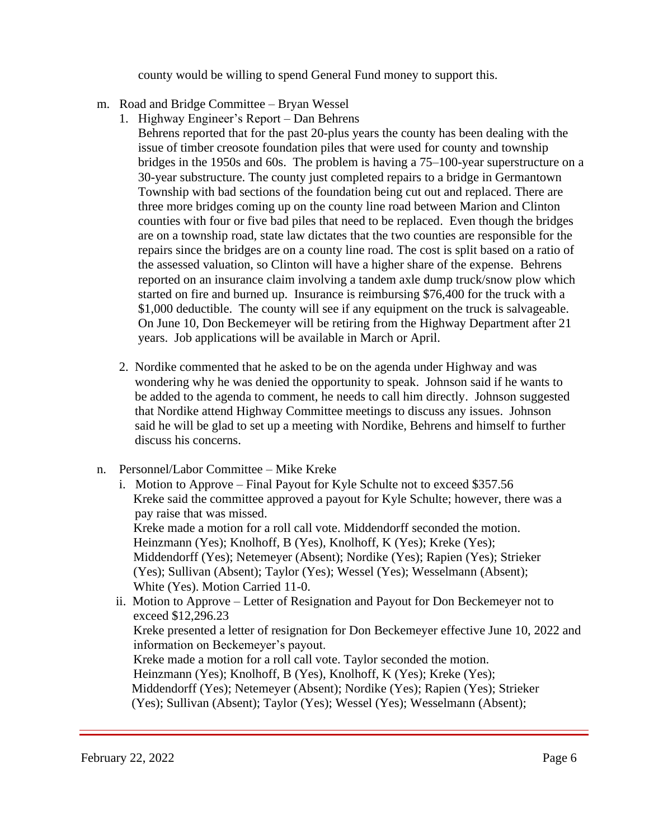county would be willing to spend General Fund money to support this.

- m. Road and Bridge Committee Bryan Wessel
	- 1. Highway Engineer's Report Dan Behrens Behrens reported that for the past 20-plus years the county has been dealing with the issue of timber creosote foundation piles that were used for county and township bridges in the 1950s and 60s. The problem is having a 75–100-year superstructure on a 30-year substructure. The county just completed repairs to a bridge in Germantown Township with bad sections of the foundation being cut out and replaced. There are three more bridges coming up on the county line road between Marion and Clinton counties with four or five bad piles that need to be replaced. Even though the bridges are on a township road, state law dictates that the two counties are responsible for the repairs since the bridges are on a county line road. The cost is split based on a ratio of the assessed valuation, so Clinton will have a higher share of the expense. Behrens reported on an insurance claim involving a tandem axle dump truck/snow plow which started on fire and burned up. Insurance is reimbursing \$76,400 for the truck with a \$1,000 deductible. The county will see if any equipment on the truck is salvageable. On June 10, Don Beckemeyer will be retiring from the Highway Department after 21 years. Job applications will be available in March or April.
	- 2. Nordike commented that he asked to be on the agenda under Highway and was wondering why he was denied the opportunity to speak. Johnson said if he wants to be added to the agenda to comment, he needs to call him directly. Johnson suggested that Nordike attend Highway Committee meetings to discuss any issues. Johnson said he will be glad to set up a meeting with Nordike, Behrens and himself to further discuss his concerns.
- n. Personnel/Labor Committee Mike Kreke
	- i. Motion to Approve Final Payout for Kyle Schulte not to exceed \$357.56 Kreke said the committee approved a payout for Kyle Schulte; however, there was a pay raise that was missed. Kreke made a motion for a roll call vote. Middendorff seconded the motion. Heinzmann (Yes); Knolhoff, B (Yes), Knolhoff, K (Yes); Kreke (Yes); Middendorff (Yes); Netemeyer (Absent); Nordike (Yes); Rapien (Yes); Strieker (Yes); Sullivan (Absent); Taylor (Yes); Wessel (Yes); Wesselmann (Absent); White (Yes). Motion Carried 11-0.
	- ii. Motion to Approve Letter of Resignation and Payout for Don Beckemeyer not to exceed \$12,296.23

Kreke presented a letter of resignation for Don Beckemeyer effective June 10, 2022 and information on Beckemeyer's payout.

 Kreke made a motion for a roll call vote. Taylor seconded the motion. Heinzmann (Yes); Knolhoff, B (Yes), Knolhoff, K (Yes); Kreke (Yes); Middendorff (Yes); Netemeyer (Absent); Nordike (Yes); Rapien (Yes); Strieker (Yes); Sullivan (Absent); Taylor (Yes); Wessel (Yes); Wesselmann (Absent);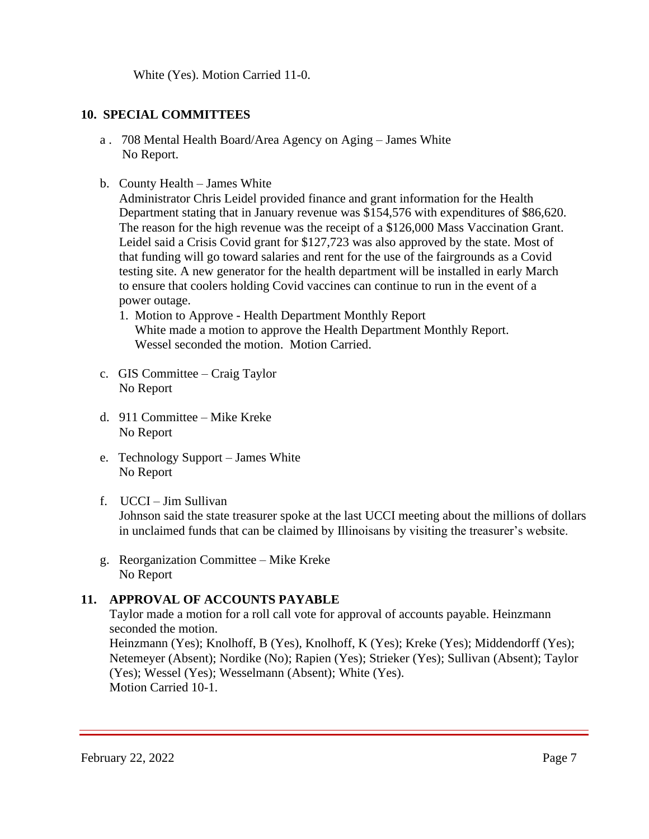White (Yes). Motion Carried 11-0.

## **10. SPECIAL COMMITTEES**

- a . 708 Mental Health Board/Area Agency on Aging James White No Report.
- b. County Health James White

Administrator Chris Leidel provided finance and grant information for the Health Department stating that in January revenue was \$154,576 with expenditures of \$86,620. The reason for the high revenue was the receipt of a \$126,000 Mass Vaccination Grant. Leidel said a Crisis Covid grant for \$127,723 was also approved by the state. Most of that funding will go toward salaries and rent for the use of the fairgrounds as a Covid testing site. A new generator for the health department will be installed in early March to ensure that coolers holding Covid vaccines can continue to run in the event of a power outage.

- 1. Motion to Approve Health Department Monthly Report White made a motion to approve the Health Department Monthly Report. Wessel seconded the motion. Motion Carried.
- c. GIS Committee Craig Taylor No Report
- d. 911 Committee Mike Kreke No Report
- e. Technology Support James White No Report
- f. UCCI Jim Sullivan

 Johnson said the state treasurer spoke at the last UCCI meeting about the millions of dollars in unclaimed funds that can be claimed by Illinoisans by visiting the treasurer's website.

 g. Reorganization Committee – Mike Kreke No Report

# **11. APPROVAL OF ACCOUNTS PAYABLE**

Taylor made a motion for a roll call vote for approval of accounts payable. Heinzmann seconded the motion.

 Heinzmann (Yes); Knolhoff, B (Yes), Knolhoff, K (Yes); Kreke (Yes); Middendorff (Yes); Netemeyer (Absent); Nordike (No); Rapien (Yes); Strieker (Yes); Sullivan (Absent); Taylor (Yes); Wessel (Yes); Wesselmann (Absent); White (Yes). Motion Carried 10-1.